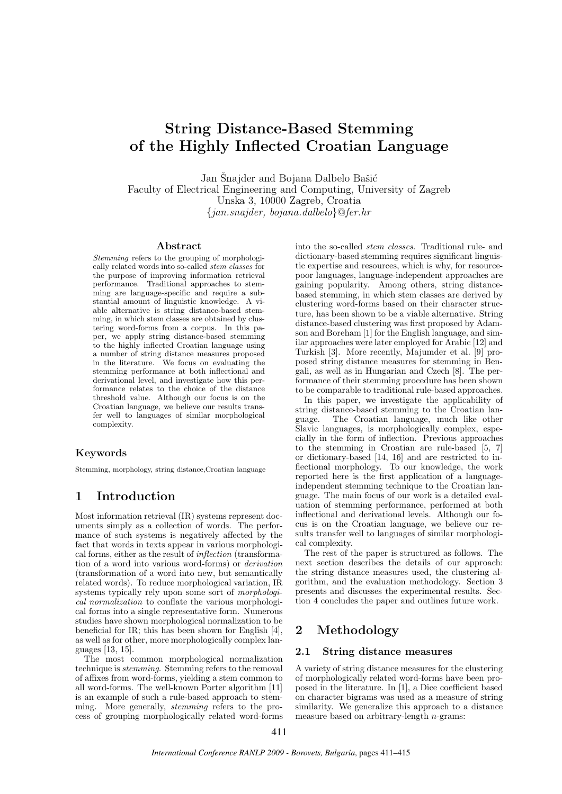# String Distance-Based Stemming of the Highly Inflected Croatian Language

Jan Šnajder and Bojana Dalbelo Bašić Faculty of Electrical Engineering and Computing, University of Zagreb Unska 3, 10000 Zagreb, Croatia {jan.snajder, bojana.dalbelo}@fer.hr

#### Abstract

Stemming refers to the grouping of morphologically related words into so-called stem classes for the purpose of improving information retrieval performance. Traditional approaches to stemming are language-specific and require a substantial amount of linguistic knowledge. A viable alternative is string distance-based stemming, in which stem classes are obtained by clustering word-forms from a corpus. In this paper, we apply string distance-based stemming to the highly inflected Croatian language using a number of string distance measures proposed in the literature. We focus on evaluating the stemming performance at both inflectional and derivational level, and investigate how this performance relates to the choice of the distance threshold value. Although our focus is on the Croatian language, we believe our results transfer well to languages of similar morphological complexity.

### Keywords

Stemming, morphology, string distance,Croatian language

# 1 Introduction

Most information retrieval (IR) systems represent documents simply as a collection of words. The performance of such systems is negatively affected by the fact that words in texts appear in various morphological forms, either as the result of inflection (transformation of a word into various word-forms) or derivation (transformation of a word into new, but semantically related words). To reduce morphological variation, IR systems typically rely upon some sort of morphological normalization to conflate the various morphological forms into a single representative form. Numerous studies have shown morphological normalization to be beneficial for IR; this has been shown for English [4], as well as for other, more morphologically complex languages [13, 15].

The most common morphological normalization technique is stemming. Stemming refers to the removal of affixes from word-forms, yielding a stem common to all word-forms. The well-known Porter algorithm [11] is an example of such a rule-based approach to stemming. More generally, stemming refers to the process of grouping morphologically related word-forms into the so-called stem classes. Traditional rule- and dictionary-based stemming requires significant linguistic expertise and resources, which is why, for resourcepoor languages, language-independent approaches are gaining popularity. Among others, string distancebased stemming, in which stem classes are derived by clustering word-forms based on their character structure, has been shown to be a viable alternative. String distance-based clustering was first proposed by Adamson and Boreham [1] for the English language, and similar approaches were later employed for Arabic [12] and Turkish [3]. More recently, Majumder et al. [9] proposed string distance measures for stemming in Bengali, as well as in Hungarian and Czech [8]. The performance of their stemming procedure has been shown to be comparable to traditional rule-based approaches.

In this paper, we investigate the applicability of string distance-based stemming to the Croatian language. The Croatian language, much like other The Croatian language, much like other Slavic languages, is morphologically complex, especially in the form of inflection. Previous approaches to the stemming in Croatian are rule-based [5, 7] or dictionary-based [14, 16] and are restricted to inflectional morphology. To our knowledge, the work reported here is the first application of a languageindependent stemming technique to the Croatian language. The main focus of our work is a detailed evaluation of stemming performance, performed at both inflectional and derivational levels. Although our focus is on the Croatian language, we believe our results transfer well to languages of similar morphological complexity.

The rest of the paper is structured as follows. The next section describes the details of our approach: the string distance measures used, the clustering algorithm, and the evaluation methodology. Section 3 presents and discusses the experimental results. Section 4 concludes the paper and outlines future work.

# 2 Methodology

### 2.1 String distance measures

A variety of string distance measures for the clustering of morphologically related word-forms have been proposed in the literature. In [1], a Dice coefficient based on character bigrams was used as a measure of string similarity. We generalize this approach to a distance measure based on arbitrary-length n-grams: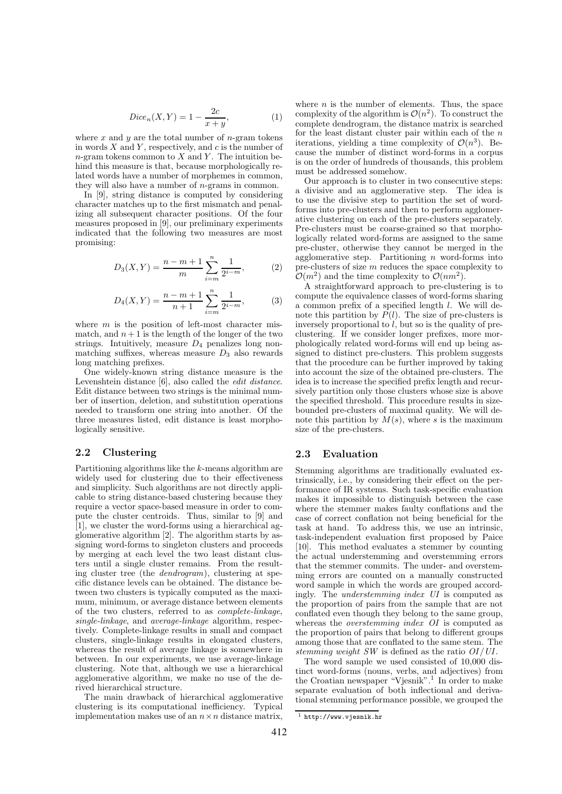$$
Dice_n(X, Y) = 1 - \frac{2c}{x + y},
$$
\n(1)

where  $x$  and  $y$  are the total number of *n*-gram tokens in words  $X$  and  $Y$ , respectively, and  $c$  is the number of n-gram tokens common to  $X$  and  $Y$ . The intuition behind this measure is that, because morphologically related words have a number of morphemes in common, they will also have a number of n-grams in common.

In [9], string distance is computed by considering character matches up to the first mismatch and penalizing all subsequent character positions. Of the four measures proposed in [9], our preliminary experiments indicated that the following two measures are most promising:

$$
D_3(X,Y) = \frac{n-m+1}{m} \sum_{i=m}^{n} \frac{1}{2^{i-m}},
$$
 (2)

$$
D_4(X,Y) = \frac{n-m+1}{n+1} \sum_{i=m}^{n} \frac{1}{2^{i-m}},
$$
 (3)

where  $m$  is the position of left-most character mismatch, and  $n+1$  is the length of the longer of the two strings. Intuitively, measure  $D_4$  penalizes long nonmatching suffixes, whereas measure  $D_3$  also rewards long matching prefixes.

One widely-known string distance measure is the Levenshtein distance [6], also called the edit distance. Edit distance between two strings is the minimal number of insertion, deletion, and substitution operations needed to transform one string into another. Of the three measures listed, edit distance is least morphologically sensitive.

### 2.2 Clustering

Partitioning algorithms like the k-means algorithm are widely used for clustering due to their effectiveness and simplicity. Such algorithms are not directly applicable to string distance-based clustering because they require a vector space-based measure in order to compute the cluster centroids. Thus, similar to [9] and [1], we cluster the word-forms using a hierarchical agglomerative algorithm [2]. The algorithm starts by assigning word-forms to singleton clusters and proceeds by merging at each level the two least distant clusters until a single cluster remains. From the resulting cluster tree (the dendrogram), clustering at specific distance levels can be obtained. The distance between two clusters is typically computed as the maximum, minimum, or average distance between elements of the two clusters, referred to as complete-linkage, single-linkage, and average-linkage algorithm, respectively. Complete-linkage results in small and compact clusters, single-linkage results in elongated clusters, whereas the result of average linkage is somewhere in between. In our experiments, we use average-linkage clustering. Note that, although we use a hierarchical agglomerative algorithm, we make no use of the derived hierarchical structure.

The main drawback of hierarchical agglomerative clustering is its computational inefficiency. Typical implementation makes use of an  $n \times n$  distance matrix,

where  $n$  is the number of elements. Thus, the space complexity of the algorithm is  $\mathcal{O}(n^2)$ . To construct the complete dendrogram, the distance matrix is searched for the least distant cluster pair within each of the  $n$ iterations, yielding a time complexity of  $\mathcal{O}(n^3)$ . Because the number of distinct word-forms in a corpus is on the order of hundreds of thousands, this problem must be addressed somehow.

Our approach is to cluster in two consecutive steps: a divisive and an agglomerative step. The idea is to use the divisive step to partition the set of wordforms into pre-clusters and then to perform agglomerative clustering on each of the pre-clusters separately. Pre-clusters must be coarse-grained so that morphologically related word-forms are assigned to the same pre-cluster, otherwise they cannot be merged in the agglomerative step. Partitioning  $n$  word-forms into pre-clusters of size m reduces the space complexity to  $\mathcal{O}(m^2)$  and the time complexity to  $\mathcal{O}(nm^2)$ .

A straightforward approach to pre-clustering is to compute the equivalence classes of word-forms sharing a common prefix of a specified length l. We will denote this partition by  $P(l)$ . The size of pre-clusters is inversely proportional to  $l$ , but so is the quality of preclustering. If we consider longer prefixes, more morphologically related word-forms will end up being assigned to distinct pre-clusters. This problem suggests that the procedure can be further improved by taking into account the size of the obtained pre-clusters. The idea is to increase the specified prefix length and recursively partition only those clusters whose size is above the specified threshold. This procedure results in sizebounded pre-clusters of maximal quality. We will denote this partition by  $M(s)$ , where s is the maximum size of the pre-clusters.

#### 2.3 Evaluation

Stemming algorithms are traditionally evaluated extrinsically, i.e., by considering their effect on the performance of IR systems. Such task-specific evaluation makes it impossible to distinguish between the case where the stemmer makes faulty conflations and the case of correct conflation not being beneficial for the task at hand. To address this, we use an intrinsic, task-independent evaluation first proposed by Paice [10]. This method evaluates a stemmer by counting the actual understemming and overstemming errors that the stemmer commits. The under- and overstemming errors are counted on a manually constructed word sample in which the words are grouped accordingly. The understemming index UI is computed as the proportion of pairs from the sample that are not conflated even though they belong to the same group, whereas the overstemming index OI is computed as the proportion of pairs that belong to different groups among those that are conflated to the same stem. The stemming weight SW is defined as the ratio  $OI/UI$ .

The word sample we used consisted of 10,000 distinct word-forms (nouns, verbs, and adjectives) from the Croatian newspaper "Vjesnik".<sup>1</sup> In order to make separate evaluation of both inflectional and derivational stemming performance possible, we grouped the

<sup>1</sup> http://www.vjesnik.hr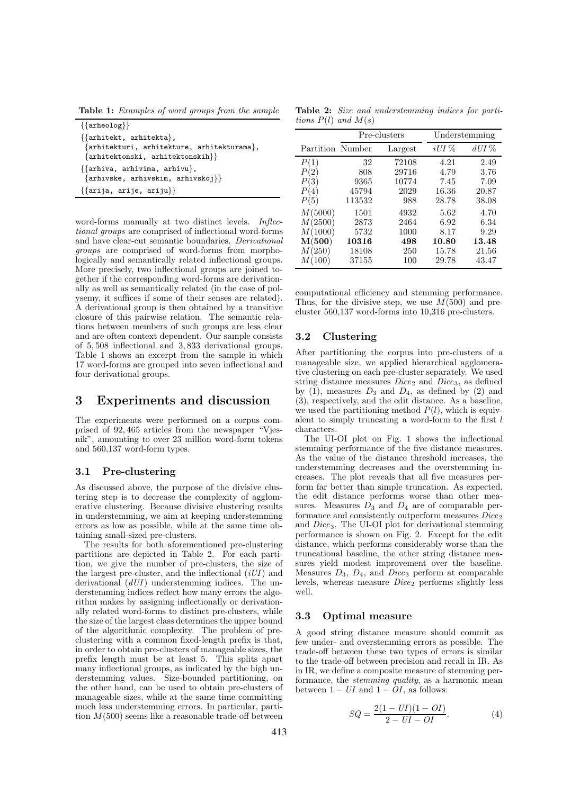Table 1: Examples of word groups from the sample

| $\{\{\text{arheology}\}\}\$                                                                                                         |
|-------------------------------------------------------------------------------------------------------------------------------------|
| $\{\{\text{arhitekt}, \text{arhitekta}\},\}$<br>{arhitekturi, arhitekture, arhitekturama},<br>$\{arhitektonski, arhitektonskih\}\}$ |
| $\{\{\text{arhiva}, \text{arhivima}, \text{arhivu}\},\}$<br>$\{arhivske, arhivskim, arhivskoj\}$                                    |
| $\{\{arija, arije, ariju\}\}\$                                                                                                      |

word-forms manually at two distinct levels. Inflectional groups are comprised of inflectional word-forms and have clear-cut semantic boundaries. Derivational groups are comprised of word-forms from morphologically and semantically related inflectional groups. More precisely, two inflectional groups are joined together if the corresponding word-forms are derivationally as well as semantically related (in the case of polysemy, it suffices if some of their senses are related). A derivational group is then obtained by a transitive closure of this pairwise relation. The semantic relations between members of such groups are less clear and are often context dependent. Our sample consists of 5, 508 inflectional and 3, 833 derivational groups. Table 1 shows an excerpt from the sample in which 17 word-forms are grouped into seven inflectional and four derivational groups.

## 3 Experiments and discussion

The experiments were performed on a corpus comprised of 92, 465 articles from the newspaper "Vjesnik", amounting to over 23 million word-form tokens and 560,137 word-form types.

#### 3.1 Pre-clustering

As discussed above, the purpose of the divisive clustering step is to decrease the complexity of agglomerative clustering. Because divisive clustering results in understemming, we aim at keeping understemming errors as low as possible, while at the same time obtaining small-sized pre-clusters.

The results for both aforementioned pre-clustering partitions are depicted in Table 2. For each partition, we give the number of pre-clusters, the size of the largest pre-cluster, and the inflectional  $(iU I)$  and derivational  $(dUI)$  understemming indices. The understemming indices reflect how many errors the algorithm makes by assigning inflectionally or derivationally related word-forms to distinct pre-clusters, while the size of the largest class determines the upper bound of the algorithmic complexity. The problem of preclustering with a common fixed-length prefix is that, in order to obtain pre-clusters of manageable sizes, the prefix length must be at least 5. This splits apart many inflectional groups, as indicated by the high understemming values. Size-bounded partitioning, on the other hand, can be used to obtain pre-clusters of manageable sizes, while at the same time committing much less understemming errors. In particular, partition  $M(500)$  seems like a reasonable trade-off between

Table 2: Size and understemming indices for partitions  $P(l)$  and  $M(s)$ 

| iUI%<br>dUI%<br>Partition Number<br>Largest<br>P(1)<br>72108<br>4.21<br>32<br>2.49<br>29716<br>3.76<br>P(2)<br>808<br>4.79<br>9365<br>7.09<br>P(3)<br>10774<br>7.45<br>45794<br>2029<br>20.87<br>16.36<br>P(4)<br>113532<br>988<br>28.78<br>38.08<br>P(5)<br>M(5000)<br>1501<br>4932<br>5.62<br>4.70<br>M(2500)<br>2873<br>6.92<br>2464<br>6.34<br>M(1000)<br>5732<br>9.29<br>1000<br>8.17<br>M(500)<br>10316<br>498<br>10.80<br>13.48<br>M(250)<br>18108<br>15.78<br>21.56<br>250<br>M(100)<br>37155<br>29.78<br>43.47<br>100 |  | Pre-clusters | Understemming |  |  |  |
|--------------------------------------------------------------------------------------------------------------------------------------------------------------------------------------------------------------------------------------------------------------------------------------------------------------------------------------------------------------------------------------------------------------------------------------------------------------------------------------------------------------------------------|--|--------------|---------------|--|--|--|
|                                                                                                                                                                                                                                                                                                                                                                                                                                                                                                                                |  |              |               |  |  |  |
|                                                                                                                                                                                                                                                                                                                                                                                                                                                                                                                                |  |              |               |  |  |  |
|                                                                                                                                                                                                                                                                                                                                                                                                                                                                                                                                |  |              |               |  |  |  |
|                                                                                                                                                                                                                                                                                                                                                                                                                                                                                                                                |  |              |               |  |  |  |
|                                                                                                                                                                                                                                                                                                                                                                                                                                                                                                                                |  |              |               |  |  |  |
|                                                                                                                                                                                                                                                                                                                                                                                                                                                                                                                                |  |              |               |  |  |  |
|                                                                                                                                                                                                                                                                                                                                                                                                                                                                                                                                |  |              |               |  |  |  |
|                                                                                                                                                                                                                                                                                                                                                                                                                                                                                                                                |  |              |               |  |  |  |
|                                                                                                                                                                                                                                                                                                                                                                                                                                                                                                                                |  |              |               |  |  |  |
|                                                                                                                                                                                                                                                                                                                                                                                                                                                                                                                                |  |              |               |  |  |  |
|                                                                                                                                                                                                                                                                                                                                                                                                                                                                                                                                |  |              |               |  |  |  |
|                                                                                                                                                                                                                                                                                                                                                                                                                                                                                                                                |  |              |               |  |  |  |

computational efficiency and stemming performance. Thus, for the divisive step, we use  $M(500)$  and precluster 560,137 word-forms into 10,316 pre-clusters.

#### 3.2 Clustering

After partitioning the corpus into pre-clusters of a manageable size, we applied hierarchical agglomerative clustering on each pre-cluster separately. We used string distance measures  $Dice_2$  and  $Dice_3$ , as defined by (1), measures  $D_3$  and  $D_4$ , as defined by (2) and (3), respectively, and the edit distance. As a baseline, we used the partitioning method  $P(l)$ , which is equivalent to simply truncating a word-form to the first  $l$ characters.

The UI-OI plot on Fig. 1 shows the inflectional stemming performance of the five distance measures. As the value of the distance threshold increases, the understemming decreases and the overstemming increases. The plot reveals that all five measures perform far better than simple truncation. As expected, the edit distance performs worse than other measures. Measures  $\overline{D}_3$  and  $D_4$  are of comparable performance and consistently outperform measures  $Dice_2$ and Dice3. The UI-OI plot for derivational stemming performance is shown on Fig. 2. Except for the edit distance, which performs considerably worse than the truncational baseline, the other string distance measures yield modest improvement over the baseline. Measures  $D_3$ ,  $D_4$ , and  $Dice_3$  perform at comparable levels, whereas measure  $Dice<sub>2</sub>$  performs slightly less well.

#### 3.3 Optimal measure

A good string distance measure should commit as few under- and overstemming errors as possible. The trade-off between these two types of errors is similar to the trade-off between precision and recall in IR. As in IR, we define a composite measure of stemming performance, the stemming quality, as a harmonic mean between  $1 - UI$  and  $1 - OI$ , as follows:

$$
SQ = \frac{2(1 - UI)(1 - OI)}{2 - UI - OI}.
$$
\n(4)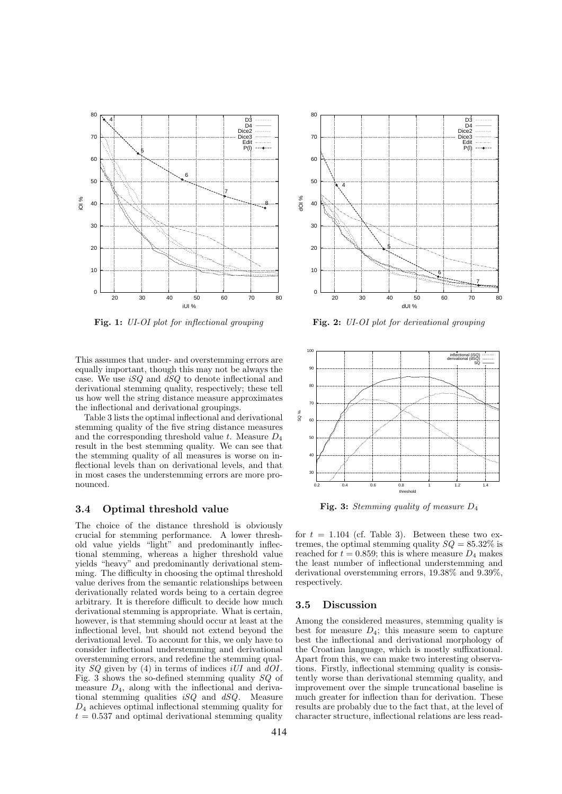

Fig. 1: UI-OI plot for inflectional grouping

This assumes that under- and overstemming errors are equally important, though this may not be always the case. We use iSQ and dSQ to denote inflectional and derivational stemming quality, respectively; these tell us how well the string distance measure approximates the inflectional and derivational groupings.

Table 3 lists the optimal inflectional and derivational stemming quality of the five string distance measures and the corresponding threshold value  $t$ . Measure  $D_4$ result in the best stemming quality. We can see that the stemming quality of all measures is worse on inflectional levels than on derivational levels, and that in most cases the understemming errors are more pronounced.

#### 3.4 Optimal threshold value

The choice of the distance threshold is obviously crucial for stemming performance. A lower threshold value yields "light" and predominantly inflectional stemming, whereas a higher threshold value yields "heavy" and predominantly derivational stemming. The difficulty in choosing the optimal threshold value derives from the semantic relationships between derivationally related words being to a certain degree arbitrary. It is therefore difficult to decide how much derivational stemming is appropriate. What is certain, however, is that stemming should occur at least at the inflectional level, but should not extend beyond the derivational level. To account for this, we only have to consider inflectional understemming and derivational overstemming errors, and redefine the stemming quality  $SQ$  given by (4) in terms of indices iUI and  $dO$ . Fig. 3 shows the so-defined stemming quality  $SQ$  of measure  $D_4$ , along with the inflectional and derivational stemming qualities  $iSQ$  and  $dSQ$ . Measure  $D_4$  achieves optimal inflectional stemming quality for  $t = 0.537$  and optimal derivational stemming quality



Fig. 2: UI-OI plot for derivational grouping



**Fig. 3:** Stemming quality of measure  $D_4$ 

for  $t = 1.104$  (cf. Table 3). Between these two extremes, the optimal stemming quality  $SQ = 85.32\%$  is reached for  $t = 0.859$ ; this is where measure  $D_4$  makes the least number of inflectional understemming and derivational overstemming errors, 19.38% and 9.39%, respectively.

#### 3.5 Discussion

Among the considered measures, stemming quality is best for measure  $D_4$ ; this measure seem to capture best the inflectional and derivational morphology of the Croatian language, which is mostly suffixational. Apart from this, we can make two interesting observations. Firstly, inflectional stemming quality is consistently worse than derivational stemming quality, and improvement over the simple truncational baseline is much greater for inflection than for derivation. These results are probably due to the fact that, at the level of character structure, inflectional relations are less read-